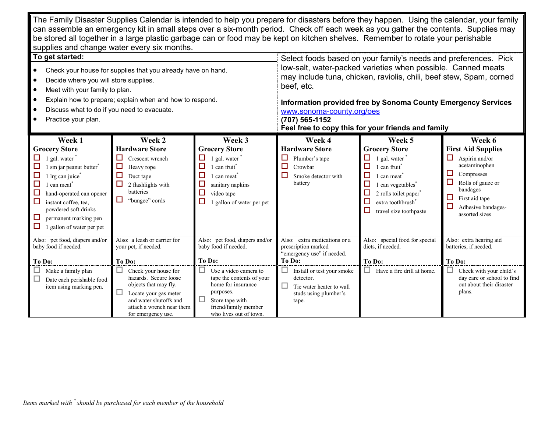| The Family Disaster Supplies Calendar is intended to help you prepare for disasters before they happen. Using the calendar, your family<br>can assemble an emergency kit in small steps over a six-month period. Check off each week as you gather the contents. Supplies may<br>be stored all together in a large plastic garbage can or food may be kept on kitchen shelves. Remember to rotate your perishable<br>supplies and change water every six months. |                                                                                                                                                                                                                                                     |                                                                                                                                                                                                                                           |                                                                                                                                                                                                                                                                                                                                                                                            |                                                                                                                                                                                                                                                                                                     |                                                                                                                                                                                                     |  |  |  |  |
|------------------------------------------------------------------------------------------------------------------------------------------------------------------------------------------------------------------------------------------------------------------------------------------------------------------------------------------------------------------------------------------------------------------------------------------------------------------|-----------------------------------------------------------------------------------------------------------------------------------------------------------------------------------------------------------------------------------------------------|-------------------------------------------------------------------------------------------------------------------------------------------------------------------------------------------------------------------------------------------|--------------------------------------------------------------------------------------------------------------------------------------------------------------------------------------------------------------------------------------------------------------------------------------------------------------------------------------------------------------------------------------------|-----------------------------------------------------------------------------------------------------------------------------------------------------------------------------------------------------------------------------------------------------------------------------------------------------|-----------------------------------------------------------------------------------------------------------------------------------------------------------------------------------------------------|--|--|--|--|
| To get started:<br>Check your house for supplies that you already have on hand.<br>Decide where you will store supplies.<br>Meet with your family to plan.<br>Explain how to prepare; explain when and how to respond.<br>Discuss what to do if you need to evacuate.<br>Practice your plan.                                                                                                                                                                     |                                                                                                                                                                                                                                                     |                                                                                                                                                                                                                                           | Select foods based on your family's needs and preferences. Pick<br>low-salt, water-packed varieties when possible. Canned meats<br>may include tuna, chicken, raviolis, chili, beef stew, Spam, corned<br>beef, etc.<br>Information provided free by Sonoma County Emergency Services<br>www.sonoma-county.org/oes<br>(707) 565-1152<br>Feel free to copy this for your friends and family |                                                                                                                                                                                                                                                                                                     |                                                                                                                                                                                                     |  |  |  |  |
| Week 1<br><b>Grocery Store</b><br>□<br>1 gal. water *<br>□<br>1 sm jar peanut butter <sup>*</sup><br>$\Box$<br>1 lrg can juice*<br>$\Box$<br>1 can meat*<br>□<br>hand-operated can opener<br>□<br>instant coffee, tea,<br>powdered soft drinks<br>$\Box$<br>permanent marking pen<br>$\Box$<br>1 gallon of water per pet                                                                                                                                         | Week 2<br><b>Hardware Store</b><br>$\Box$<br>Crescent wrench<br>$\Box$<br>Heavy rope<br>$\Box$<br>Duct tape<br>$\Box$<br>2 flashlights with<br>batteries<br>□<br>"bungee" cords                                                                     | Week 3<br><b>Grocery Store</b><br>1 gal. water <sup>*</sup><br>$\Box$<br>$\Box$<br>1 can fruit*<br>$\Box$<br>1 can meat <sup>*</sup><br>$\Box$<br>sanitary napkins<br>$\Box$<br>video tape<br>$\Box$<br>1 gallon of water per pet         | Week 4<br><b>Hardware Store</b><br>□<br>Plumber's tape<br>□<br>Crowbar<br>п<br>Smoke detector with<br>battery                                                                                                                                                                                                                                                                              | Week 5<br><b>Grocery Store</b><br>□<br>1 gal. water <sup>*</sup><br>□<br>1 can fruit <sup>*</sup><br>$\Box$<br>1 can meat <sup>*</sup><br>$\Box$<br>1 can vegetables <sup>*</sup><br>$\Box$<br>2 rolls toilet paper <sup>*</sup><br>$\Box$<br>extra toothbrush*<br>$\Box$<br>travel size toothpaste | Week 6<br><b>First Aid Supplies</b><br>0<br>Aspirin and/or<br>acetaminophen<br>Compresses<br>ш<br>Rolls of gauze or<br>bandages<br>First aid tape<br>$\Box$<br>Adhesive bandages-<br>assorted sizes |  |  |  |  |
| Also: pet food, diapers and/or<br>baby food if needed.<br>To Do:<br>ப<br>Make a family plan<br>$\Box$<br>Date each perishable food<br>item using marking pen.                                                                                                                                                                                                                                                                                                    | Also: a leash or carrier for<br>your pet, if needed.<br>To Do:<br>ப<br>Check your house for<br>hazards. Secure loose<br>objects that may fly.<br>Locate your gas meter<br>and water shutoffs and<br>attach a wrench near them<br>for emergency use. | Also: pet food, diapers and/or<br>baby food if needed.<br>To Do:<br>ப<br>Use a video camera to<br>tape the contents of your<br>home for insurance<br>purposes.<br>□.<br>Store tape with<br>friend/family member<br>who lives out of town. | Also: extra medications or a<br>prescription marked<br>"emergency use" if needed.<br>To Do:<br>ш<br>Install or test your smoke<br>detector.<br>□<br>Tie water heater to wall<br>studs using plumber's<br>tape.                                                                                                                                                                             | Also: special food for special<br>diets, if needed.<br>To Do:<br>$\Box$ Have a fire drill at home.                                                                                                                                                                                                  | Also: extra hearing aid<br>batteries, if needed.<br>To Do:<br>Check with your child's<br>day care or school to find<br>out about their disaster<br>plans.                                           |  |  |  |  |